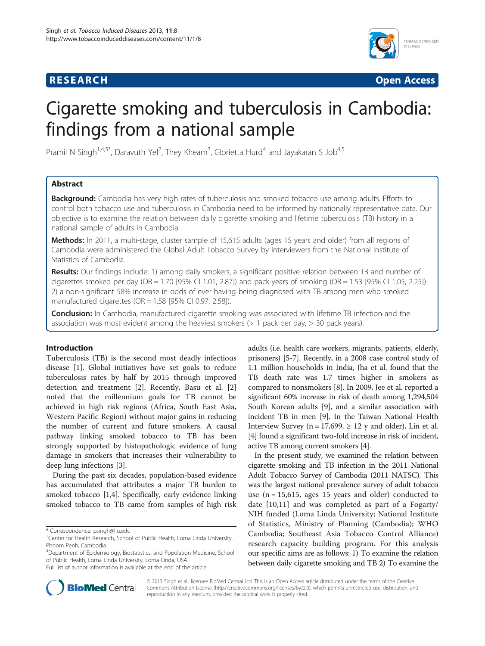# **RESEARCH CHINESE ARCH CHINESE ARCH CHINESE ARCH <b>CHINESE ARCH**



# Cigarette smoking and tuberculosis in Cambodia: findings from a national sample

Pramil N Singh<sup>1,4,5\*</sup>, Daravuth Yel<sup>2</sup>, They Kheam<sup>3</sup>, Glorietta Hurd<sup>4</sup> and Jayakaran S Job<sup>4,5</sup>

# Abstract

Background: Cambodia has very high rates of tuberculosis and smoked tobacco use among adults. Efforts to control both tobacco use and tuberculosis in Cambodia need to be informed by nationally representative data. Our objective is to examine the relation between daily cigarette smoking and lifetime tuberculosis (TB) history in a national sample of adults in Cambodia.

Methods: In 2011, a multi-stage, cluster sample of 15,615 adults (ages 15 years and older) from all regions of Cambodia were administered the Global Adult Tobacco Survey by interviewers from the National Institute of Statistics of Cambodia.

Results: Our findings include: 1) among daily smokers, a significant positive relation between TB and number of cigarettes smoked per day (OR = 1.70 [95% CI 1.01, 2.87]) and pack-years of smoking (OR = 1.53 [95% CI 1.05, 2.25]) 2) a non-significant 58% increase in odds of ever having being diagnosed with TB among men who smoked manufactured cigarettes (OR = 1.58 [95% CI 0.97, 2.58]).

Conclusion: In Cambodia, manufactured cigarette smoking was associated with lifetime TB infection and the association was most evident among the heaviest smokers (> 1 pack per day, > 30 pack years).

# Introduction

Tuberculosis (TB) is the second most deadly infectious disease [\[1](#page-7-0)]. Global initiatives have set goals to reduce tuberculosis rates by half by 2015 through improved detection and treatment [[2\]](#page-7-0). Recently, Basu et al. [\[2](#page-7-0)] noted that the millennium goals for TB cannot be achieved in high risk regions (Africa, South East Asia, Western Pacific Region) without major gains in reducing the number of current and future smokers. A causal pathway linking smoked tobacco to TB has been strongly supported by histopathologic evidence of lung damage in smokers that increases their vulnerability to deep lung infections [[3\]](#page-7-0).

During the past six decades, population-based evidence has accumulated that attributes a major TB burden to smoked tobacco [\[1,4\]](#page-7-0). Specifically, early evidence linking smoked tobacco to TB came from samples of high risk

\* Correspondence: [psingh@llu.edu](mailto:psingh@llu.edu) <sup>1</sup>

4 Department of Epidemiology, Biostatistics, and Population Medicine, School of Public Health, Loma Linda University, Loma Linda, USA

Full list of author information is available at the end of the article

adults (i.e. health care workers, migrants, patients, elderly, prisoners) [\[5-7](#page-7-0)]. Recently, in a 2008 case control study of 1.1 million households in India, Jha et al. found that the TB death rate was 1.7 times higher in smokers as compared to nonsmokers [\[8\]](#page-7-0). In 2009, Jee et al. reported a significant 60% increase in risk of death among 1,294,504 South Korean adults [\[9\]](#page-7-0), and a similar association with incident TB in men [[9\]](#page-7-0). In the Taiwan National Health Interview Survey ( $n = 17,699$ ,  $\geq 12$  y and older), Lin et al. [[4\]](#page-7-0) found a significant two-fold increase in risk of incident, active TB among current smokers [[4\]](#page-7-0).

In the present study, we examined the relation between cigarette smoking and TB infection in the 2011 National Adult Tobacco Survey of Cambodia (2011 NATSC). This was the largest national prevalence survey of adult tobacco use  $(n = 15,615,$  ages 15 years and older) conducted to date [[10,11](#page-7-0)] and was completed as part of a Fogarty/ NIH funded (Loma Linda University; National Institute of Statistics, Ministry of Planning (Cambodia); WHO Cambodia; Southeast Asia Tobacco Control Alliance) research capacity building program. For this analysis our specific aims are as follows: 1) To examine the relation between daily cigarette smoking and TB 2) To examine the



© 2013 Singh et al.; licensee BioMed Central Ltd. This is an Open Access article distributed under the terms of the Creative Commons Attribution License [\(http://creativecommons.org/licenses/by/2.0\)](http://creativecommons.org/licenses/by/2.0), which permits unrestricted use, distribution, and reproduction in any medium, provided the original work is properly cited.

<sup>&</sup>lt;sup>1</sup> Center for Health Research, School of Public Health, Loma Linda University, Phnom Penh, Cambodia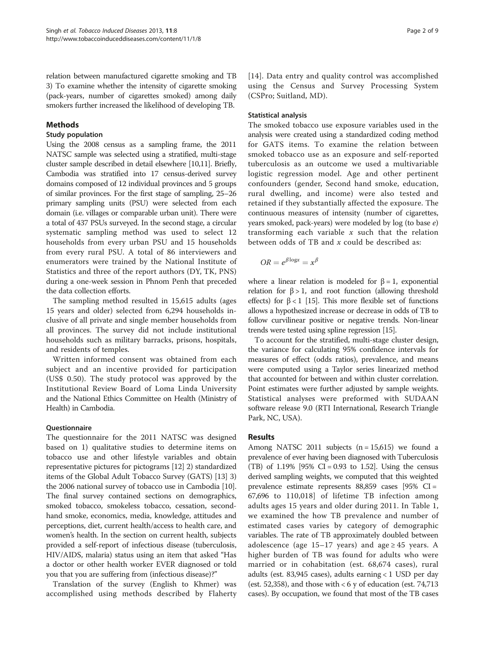relation between manufactured cigarette smoking and TB 3) To examine whether the intensity of cigarette smoking (pack-years, number of cigarettes smoked) among daily smokers further increased the likelihood of developing TB.

# Methods

# Study population

Using the 2008 census as a sampling frame, the 2011 NATSC sample was selected using a stratified, multi-stage cluster sample described in detail elsewhere [[10,11\]](#page-7-0). Briefly, Cambodia was stratified into 17 census-derived survey domains composed of 12 individual provinces and 5 groups of similar provinces. For the first stage of sampling, 25–26 primary sampling units (PSU) were selected from each domain (i.e. villages or comparable urban unit). There were a total of 437 PSUs surveyed. In the second stage, a circular systematic sampling method was used to select 12 households from every urban PSU and 15 households from every rural PSU. A total of 86 interviewers and enumerators were trained by the National Institute of Statistics and three of the report authors (DY, TK, PNS) during a one-week session in Phnom Penh that preceded the data collection efforts.

The sampling method resulted in 15,615 adults (ages 15 years and older) selected from 6,294 households inclusive of all private and single member households from all provinces. The survey did not include institutional households such as military barracks, prisons, hospitals, and residents of temples.

Written informed consent was obtained from each subject and an incentive provided for participation (US\$ 0.50). The study protocol was approved by the Institutional Review Board of Loma Linda University and the National Ethics Committee on Health (Ministry of Health) in Cambodia.

## Questionnaire

The questionnaire for the 2011 NATSC was designed based on 1) qualitative studies to determine items on tobacco use and other lifestyle variables and obtain representative pictures for pictograms [[12](#page-7-0)] 2) standardized items of the Global Adult Tobacco Survey (GATS) [\[13\]](#page-7-0) 3) the 2006 national survey of tobacco use in Cambodia [[10](#page-7-0)]. The final survey contained sections on demographics, smoked tobacco, smokeless tobacco, cessation, secondhand smoke, economics, media, knowledge, attitudes and perceptions, diet, current health/access to health care, and women's health. In the section on current health, subjects provided a self-report of infectious disease (tuberculosis, HIV/AIDS, malaria) status using an item that asked "Has a doctor or other health worker EVER diagnosed or told you that you are suffering from (infectious disease)?"

Translation of the survey (English to Khmer) was accomplished using methods described by Flaherty

# Statistical analysis

The smoked tobacco use exposure variables used in the analysis were created using a standardized coding method for GATS items. To examine the relation between smoked tobacco use as an exposure and self-reported tuberculosis as an outcome we used a multivariable logistic regression model. Age and other pertinent confounders (gender, Second hand smoke, education, rural dwelling, and income) were also tested and retained if they substantially affected the exposure. The continuous measures of intensity (number of cigarettes, years smoked, pack-years) were modeled by log (to base e) transforming each variable  $x$  such that the relation between odds of TB and  $x$  could be described as:

$$
OR = e^{\beta \log x} = x^{\beta}
$$

where a linear relation is modeled for  $\beta = 1$ , exponential relation for  $β > 1$ , and root function (allowing threshold effects) for  $β < 1$  [\[15](#page-7-0)]. This more flexible set of functions allows a hypothesized increase or decrease in odds of TB to follow curvilinear positive or negative trends. Non-linear trends were tested using spline regression [\[15](#page-7-0)].

To account for the stratified, multi-stage cluster design, the variance for calculating 95% confidence intervals for measures of effect (odds ratios), prevalence, and means were computed using a Taylor series linearized method that accounted for between and within cluster correlation. Point estimates were further adjusted by sample weights. Statistical analyses were preformed with SUDAAN software release 9.0 (RTI International, Research Triangle Park, NC, USA).

# Results

Among NATSC 2011 subjects  $(n = 15,615)$  we found a prevalence of ever having been diagnosed with Tuberculosis (TB) of 1.19% [95% CI = 0.93 to 1.52]. Using the census derived sampling weights, we computed that this weighted prevalence estimate represents 88,859 cases [95% CI = 67,696 to 110,018] of lifetime TB infection among adults ages 15 years and older during 2011. In Table [1](#page-2-0), we examined the how TB prevalence and number of estimated cases varies by category of demographic variables. The rate of TB approximately doubled between adolescence (age  $15-17$  years) and age  $\geq 45$  years. A higher burden of TB was found for adults who were married or in cohabitation (est. 68,674 cases), rural adults (est. 83,945 cases), adults earning < 1 USD per day (est. 52,358), and those with  $<$  6 y of education (est. 74,713) cases). By occupation, we found that most of the TB cases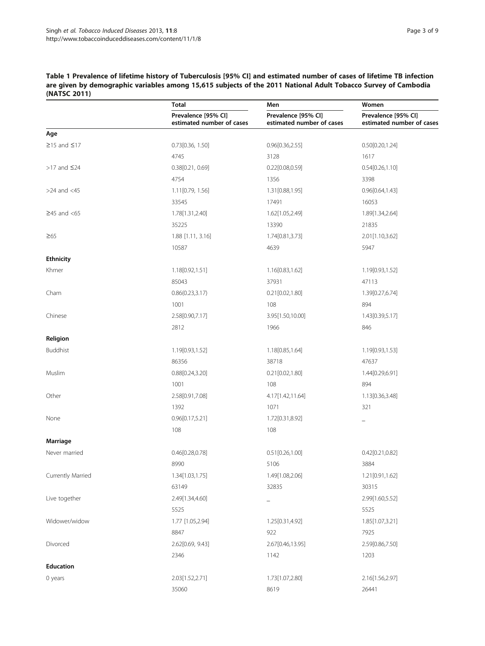<span id="page-2-0"></span>Table 1 Prevalence of lifetime history of Tuberculosis [95% CI] and estimated number of cases of lifetime TB infection are given by demographic variables among 15,615 subjects of the 2011 National Adult Tobacco Survey of Cambodia (NATSC 2011)

|                     | <b>Total</b>                                     | Men                                              | Women                                            |
|---------------------|--------------------------------------------------|--------------------------------------------------|--------------------------------------------------|
|                     | Prevalence [95% CI]<br>estimated number of cases | Prevalence [95% CI]<br>estimated number of cases | Prevalence [95% CI]<br>estimated number of cases |
| Age                 |                                                  |                                                  |                                                  |
| $≥15$ and ≤17       | 0.73[0.36, 1.50]                                 | 0.96[0.36,2.55]                                  | 0.50[0.20,1.24]                                  |
|                     | 4745                                             | 3128                                             | 1617                                             |
| $>17$ and $\leq 24$ | 0.38[0.21, 0.69]                                 | 0.22[0.08,0.59]                                  | 0.54[0.26, 1.10]                                 |
|                     | 4754                                             | 1356                                             | 3398                                             |
| $>24$ and $<45$     | 1.11[0.79, 1.56]                                 | 1.31[0.88,1.95]                                  | 0.96[0.64, 1.43]                                 |
|                     | 33545                                            | 17491                                            | 16053                                            |
| $\geq$ 45 and <65   | 1.78[1.31,2.40]                                  | 1.62[1.05,2.49]                                  | 1.89[1.34,2.64]                                  |
|                     | 35225                                            | 13390                                            | 21835                                            |
| $\geq 65$           | 1.88 [1.11, 3.16]                                | 1.74[0.81,3.73]                                  | 2.01[1.10,3.62]                                  |
|                     | 10587                                            | 4639                                             | 5947                                             |
| <b>Ethnicity</b>    |                                                  |                                                  |                                                  |
| Khmer               | 1.18[0.92,1.51]                                  | 1.16[0.83,1.62]                                  | 1.19[0.93,1.52]                                  |
|                     | 85043                                            | 37931                                            | 47113                                            |
| Cham                | 0.86(0.23, 3.17)                                 | 0.21[0.02, 1.80]                                 | 1.39[0.27,6.74]                                  |
|                     | 1001                                             | 108                                              | 894                                              |
| Chinese             | 2.58[0.90,7.17]                                  | 3.95[1.50,10.00]                                 | 1.43[0.39,5.17]                                  |
|                     | 2812                                             | 1966                                             | 846                                              |
| Religion            |                                                  |                                                  |                                                  |
| <b>Buddhist</b>     | 1.19[0.93,1.52]                                  | 1.18[0.85,1.64]                                  | 1.19[0.93,1.53]                                  |
|                     | 86356                                            | 38718                                            | 47637                                            |
| Muslim              | 0.88[0.24, 3.20]                                 | 0.21[0.02, 1.80]                                 | 1.44[0.29,6.91]                                  |
|                     | 1001                                             | 108                                              | 894                                              |
| Other               | 2.58[0.91,7.08]                                  | 4.17[1.42,11.64]                                 | 1.13[0.36,3.48]                                  |
|                     | 1392                                             | 1071                                             | 321                                              |
| None                | 0.96[0.17,5.21]                                  | 1.72[0.31,8.92]                                  |                                                  |
|                     | 108                                              | 108                                              |                                                  |
| Marriage            |                                                  |                                                  |                                                  |
| Never married       | 0.46[0.28,0.78]                                  | 0.51[0.26, 1.00]                                 | 0.42[0.21,0.82]                                  |
|                     | 8990                                             | 5106                                             | 3884                                             |
| Currently Married   | 1.34[1.03,1.75]                                  | 1.49[1.08,2.06]                                  | 1.21[0.91,1.62]                                  |
|                     | 63149                                            | 32835                                            | 30315                                            |
| Live together       | 2.49[1.34,4.60]                                  | $\overline{\phantom{0}}$                         | 2.99[1.60,5.52]                                  |
|                     | 5525                                             |                                                  | 5525                                             |
| Widower/widow       | 1.77 [1.05,2.94]                                 | 1.25[0.31,4.92]                                  | 1.85[1.07,3.21]                                  |
|                     | 8847                                             | 922                                              | 7925                                             |
| Divorced            | 2.62[0.69, 9.43]                                 | 2.67[0.46,13.95]                                 | 2.59[0.86,7.50]                                  |
|                     | 2346                                             | 1142                                             | 1203                                             |
| <b>Education</b>    |                                                  |                                                  |                                                  |
| 0 years             | 2.03[1.52,2.71]                                  | 1.73[1.07,2.80]                                  | 2.16[1.56,2.97]                                  |
|                     | 35060                                            | 8619                                             | 26441                                            |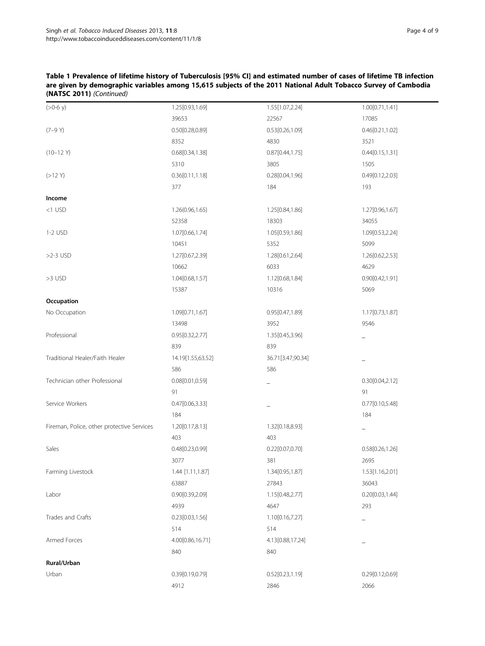# Table 1 Prevalence of lifetime history of Tuberculosis [95% CI] and estimated number of cases of lifetime TB infection are given by demographic variables among 15,615 subjects of the 2011 National Adult Tobacco Survey of Cambodia (NATSC 2011) (Continued)

| $(>0-6 y)$                                 | 1.25[0.93,1.69]   | 1.55[1.07,2.24]   | 1.00[0.71,1.41]  |
|--------------------------------------------|-------------------|-------------------|------------------|
|                                            | 39653             | 22567             | 17085            |
| $(7-9)$                                    | 0.50[0.28,0.89]   | 0.53[0.26,1.09]   | 0.46[0.21,1.02]  |
|                                            | 8352              | 4830              | 3521             |
| $(10-12)$                                  | 0.68[0.34, 1.38]  | 0.87[0.44, 1.75]  | 0.44[0.15, 1.31] |
|                                            | 5310              | 3805              | 1505             |
| $(>12 \text{ Y})$                          | 0.36[0.11, 1.18]  | 0.28[0.04,1.96]   | 0.49[0.12,2.03]  |
|                                            | 377               | 184               | 193              |
| Income                                     |                   |                   |                  |
| $<$ 1 USD                                  | 1.26(0.96, 1.65)  | 1.25[0.84,1.86]   | 1.27[0.96,1.67]  |
|                                            | 52358             | 18303             | 34055            |
| 1-2 USD                                    | 1.07[0.66,1.74]   | 1.05[0.59,1.86]   | 1.09[0.53,2.24]  |
|                                            | 10451             | 5352              | 5099             |
| $>2-3$ USD                                 | 1.27[0.67,2.39]   | 1.28[0.61,2.64]   | 1.26[0.62,2.53]  |
|                                            | 10662             | 6033              | 4629             |
| >3 USD                                     | 1.04[0.68,1.57]   | 1.12[0.68,1.84]   | 0.90[0.42,1.91]  |
|                                            | 15387             | 10316             | 5069             |
| Occupation                                 |                   |                   |                  |
| No Occupation                              | 1.09[0.71,1.67]   | 0.95[0.47,1.89]   | 1.17[0.73,1.87]  |
|                                            | 13498             | 3952              | 9546             |
| Professional                               | 0.95[0.32,2.77]   | 1.35[0.45,3.96]   |                  |
|                                            | 839               | 839               |                  |
| Traditional Healer/Faith Healer            | 14.19[1.55,63.52] | 36.71[3.47,90.34] |                  |
|                                            | 586               | 586               |                  |
| Technician other Professional              | 0.08[0.01, 0.59]  | -                 | 0.30[0.04,2.12]  |
|                                            | 91                |                   | 91               |
| Service Workers                            | 0.47[0.06,3.33]   |                   | 0.77[0.10,5.48]  |
|                                            | 184               |                   | 184              |
| Fireman, Police, other protective Services | 1.20[0.17,8.13]   | 1.32[0.18,8.93]   |                  |
|                                            | 403               | 403               |                  |
| Sales                                      | 0.48[0.23,0.99]   | 0.22[0.07,0.70]   | 0.58[0.26,1.26]  |
|                                            | 3077              | 381               | 2695             |
| Farming Livestock                          | 1.44 [1.11,1.87]  | 1.34[0.95,1.87]   | 1.53[1.16,2.01]  |
|                                            | 63887             | 27843             | 36043            |
| Labor                                      | 0.90[0.39,2.09]   | 1.15[0.48,2.77]   | 0.20[0.03, 1.44] |
|                                            | 4939              | 4647              | 293              |
| Trades and Crafts                          | 0.23[0.03, 1.56]  | 1.10[0.16,7.27]   |                  |
|                                            | 514               | 514               |                  |
| Armed Forces                               | 4.00[0.86,16.71]  | 4.13[0.88,17.24]  |                  |
|                                            | 840               | 840               |                  |
| Rural/Urban                                |                   |                   |                  |
| Urban                                      | 0.39[0.19,0.79]   | 0.52[0.23, 1.19]  | 0.29[0.12,0.69]  |
|                                            | 4912              | 2846              | 2066             |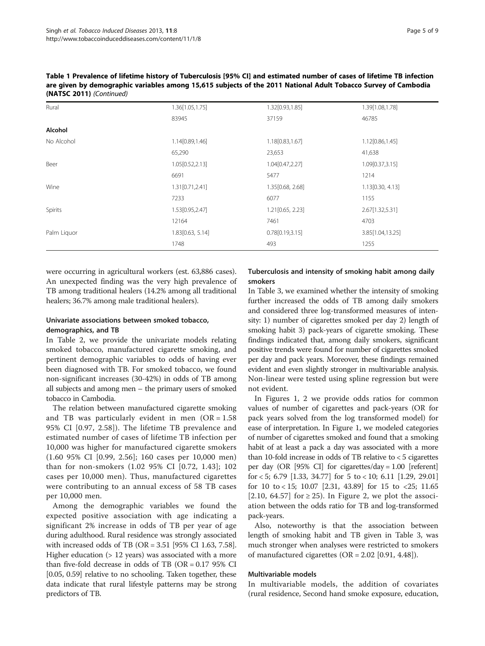| Rural       | 1.36[1.05,1.75]   | 1.32[0.93,1.85]   | 1.39[1.08,1.78]    |
|-------------|-------------------|-------------------|--------------------|
|             | 83945             | 37159             | 46785              |
| Alcohol     |                   |                   |                    |
| No Alcohol  | 1.14[0.89,1.46]   | 1.18[0.83,1.67]   | 1.12[0.86,1.45]    |
|             | 65,290            | 23,653            | 41,638             |
| Beer        | 1.05[0.52,2.13]   | 1.04[0.47,2.27]   | 1.09[0.37,3.15]    |
|             | 6691              | 5477              | 1214               |
| Wine        | 1.31[0.71,2.41]   | 1.35[0.68, 2.68]  | 1.13[0.30, 4.13]   |
|             | 7233              | 6077              | 1155               |
| Spirits     | 1.53[0.95,2.47]   | 1.21 [0.65, 2.23] | 2.67[1.32,5.31]    |
|             | 12164             | 7461              | 4703               |
| Palm Liquor | 1.83 [0.63, 5.14] | 0.78[0.19,3.15]   | 3.85 [1.04, 13.25] |
|             | 1748              | 493               | 1255               |

Table 1 Prevalence of lifetime history of Tuberculosis [95% CI] and estimated number of cases of lifetime TB infection are given by demographic variables among 15,615 subjects of the 2011 National Adult Tobacco Survey of Cambodia (NATSC 2011) (Continued)

were occurring in agricultural workers (est. 63,886 cases). An unexpected finding was the very high prevalence of TB among traditional healers (14.2% among all traditional healers; 36.7% among male traditional healers).

# Univariate associations between smoked tobacco, demographics, and TB

In Table [2,](#page-5-0) we provide the univariate models relating smoked tobacco, manufactured cigarette smoking, and pertinent demographic variables to odds of having ever been diagnosed with TB. For smoked tobacco, we found non-significant increases (30-42%) in odds of TB among all subjects and among men – the primary users of smoked tobacco in Cambodia.

The relation between manufactured cigarette smoking and TB was particularly evident in men  $(OR = 1.58)$ 95% CI [0.97, 2.58]). The lifetime TB prevalence and estimated number of cases of lifetime TB infection per 10,000 was higher for manufactured cigarette smokers (1.60 95% CI [0.99, 2.56]; 160 cases per 10,000 men) than for non-smokers (1.02 95% CI [0.72, 1.43]; 102 cases per 10,000 men). Thus, manufactured cigarettes were contributing to an annual excess of 58 TB cases per 10,000 men.

Among the demographic variables we found the expected positive association with age indicating a significant 2% increase in odds of TB per year of age during adulthood. Rural residence was strongly associated with increased odds of TB (OR = 3.51 [95% CI 1.63, 7.58]. Higher education (> 12 years) was associated with a more than five-fold decrease in odds of TB ( $OR = 0.17$  95% CI [0.05, 0.59] relative to no schooling. Taken together, these data indicate that rural lifestyle patterns may be strong predictors of TB.

# Tuberculosis and intensity of smoking habit among daily smokers

In Table [3](#page-5-0), we examined whether the intensity of smoking further increased the odds of TB among daily smokers and considered three log-transformed measures of intensity: 1) number of cigarettes smoked per day 2) length of smoking habit 3) pack-years of cigarette smoking. These findings indicated that, among daily smokers, significant positive trends were found for number of cigarettes smoked per day and pack years. Moreover, these findings remained evident and even slightly stronger in multivariable analysis. Non-linear were tested using spline regression but were not evident.

In Figures [1, 2](#page-6-0) we provide odds ratios for common values of number of cigarettes and pack-years (OR for pack years solved from the log transformed model) for ease of interpretation. In Figure [1](#page-6-0), we modeled categories of number of cigarettes smoked and found that a smoking habit of at least a pack a day was associated with a more than 10-fold increase in odds of TB relative to < 5 cigarettes per day (OR [95% CI] for cigarettes/day = 1.00 [referent] for < 5; 6.79 [1.33, 34.77] for 5 to < 10; 6.11 [1.29, 29.01] for 10 to < 15; 10.07 [2.31, 43.89] for 15 to <25; 11.65 [2.10, 64.57] for  $\geq$  25). In Figure [2,](#page-6-0) we plot the association between the odds ratio for TB and log-transformed pack-years.

Also, noteworthy is that the association between length of smoking habit and TB given in Table [3,](#page-5-0) was much stronger when analyses were restricted to smokers of manufactured cigarettes  $(OR = 2.02 [0.91, 4.48])$ .

## Multivariable models

In multivariable models, the addition of covariates (rural residence, Second hand smoke exposure, education,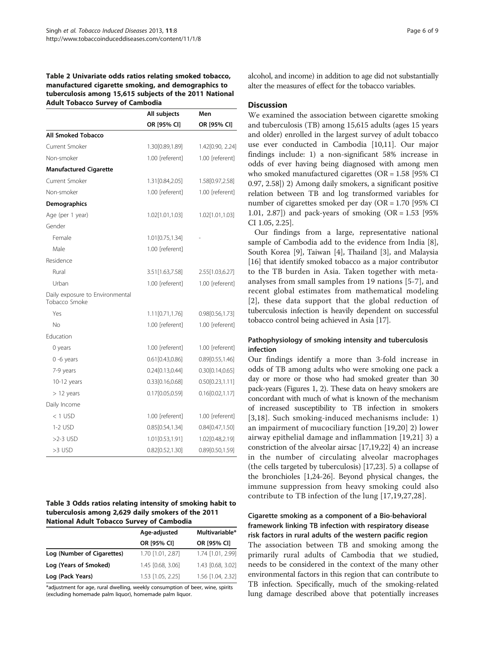# <span id="page-5-0"></span>Table 2 Univariate odds ratios relating smoked tobacco, manufactured cigarette smoking, and demographics to tuberculosis among 15,615 subjects of the 2011 National Adult Tobacco Survey of Cambodia

|                                                  | All subjects     | Men              |
|--------------------------------------------------|------------------|------------------|
|                                                  | OR [95% CI]      | OR [95% CI]      |
| <b>All Smoked Tobacco</b>                        |                  |                  |
| Current Smoker                                   | 1.30[0.89,1.89]  | 1.42[0.90, 2.24] |
| Non-smoker                                       | 1.00 [referent]  | 1.00 [referent]  |
| <b>Manufactured Cigarette</b>                    |                  |                  |
| Current Smoker                                   | 1.31[0.84,2.05]  | 1.58[0.97,2.58]  |
| Non-smoker                                       | 1.00 [referent]  | 1.00 [referent]  |
| Demographics                                     |                  |                  |
| Age (per 1 year)                                 | 1.02[1.01,1.03]  | 1.02[1.01,1.03]  |
| Gender                                           |                  |                  |
| Female                                           | 1.01[0.75,1.34]  |                  |
| Male                                             | 1.00 [referent]  |                  |
| Residence                                        |                  |                  |
| Rural                                            | 3.51[1.63,7.58]  | 2.55[1.03,6.27]  |
| Urban                                            | 1.00 [referent]  | 1.00 [referent]  |
| Daily exposure to Environmental<br>Tobacco Smoke |                  |                  |
| Yes                                              | 1.11[0.71,1.76]  | 0.98[0.56, 1.73] |
| No                                               | 1.00 [referent]  | 1.00 [referent]  |
| Education                                        |                  |                  |
| 0 years                                          | 1.00 [referent]  | 1.00 [referent]  |
| $0 - 6$ years                                    | 0.61[0.43, 0.86] | 0.89[0.55, 1.46] |
| 7-9 years                                        | 0.24[0.13, 0.44] | 0.30[0.14, 0.65] |
| 10-12 years                                      | 0.33[0.16, 0.68] | 0.50[0.23, 1.11] |
| > 12 years                                       | 0.17[0.05,0.59]  | 0.16[0.02, 1.17] |
| Daily Income                                     |                  |                  |
| < 1 USD                                          | 1.00 [referent]  | 1.00 [referent]  |
| 1-2 USD                                          | 0.85[0.54, 1.34] | 0.84[0.47, 1.50] |
| $>2-3$ USD                                       | 1.01[0.53,1.91]  | 1.02[0.48,2.19]  |
| >3 USD                                           | 0.82[0.52, 1.30] | 0.89[0.50, 1.59] |

Table 3 Odds ratios relating intensity of smoking habit to tuberculosis among 2,629 daily smokers of the 2011 National Adult Tobacco Survey of Cambodia

|                            | Age-adjusted      | Multivariable*    |
|----------------------------|-------------------|-------------------|
|                            | OR [95% CI]       | OR [95% CI]       |
| Log (Number of Cigarettes) | 1.70 [1.01, 2.87] | 1.74 [1.01, 2.99] |
| Log (Years of Smoked)      | 1.45 [0.68, 3.06] | 1.43 [0.68, 3.02] |
| Log (Pack Years)           | 1.53 [1.05, 2.25] | 1.56 [1.04, 2.32] |

\*adjustment for age, rural dwelling, weekly consumption of beer, wine, spirits (excluding homemade palm liquor), homemade palm liquor.

alcohol, and income) in addition to age did not substantially alter the measures of effect for the tobacco variables.

# **Discussion**

We examined the association between cigarette smoking and tuberculosis (TB) among 15,615 adults (ages 15 years and older) enrolled in the largest survey of adult tobacco use ever conducted in Cambodia [\[10,11](#page-7-0)]. Our major findings include: 1) a non-significant 58% increase in odds of ever having being diagnosed with among men who smoked manufactured cigarettes (OR = 1.58 [95% CI 0.97, 2.58]) 2) Among daily smokers, a significant positive relation between TB and log transformed variables for number of cigarettes smoked per day (OR = 1.70 [95% CI 1.01, 2.87]) and pack-years of smoking (OR = 1.53 [95% CI 1.05, 2.25].

Our findings from a large, representative national sample of Cambodia add to the evidence from India [\[8](#page-7-0)], South Korea [[9\]](#page-7-0), Taiwan [\[4](#page-7-0)], Thailand [\[3\]](#page-7-0), and Malaysia [[16\]](#page-7-0) that identify smoked tobacco as a major contributor to the TB burden in Asia. Taken together with metaanalyses from small samples from 19 nations [[5-7\]](#page-7-0), and recent global estimates from mathematical modeling [[2](#page-7-0)], these data support that the global reduction of tuberculosis infection is heavily dependent on successful tobacco control being achieved in Asia [\[17\]](#page-7-0).

# Pathophysiology of smoking intensity and tuberculosis infection

Our findings identify a more than 3-fold increase in odds of TB among adults who were smoking one pack a day or more or those who had smoked greater than 30 pack-years (Figures [1](#page-6-0), [2\)](#page-6-0). These data on heavy smokers are concordant with much of what is known of the mechanism of increased susceptibility to TB infection in smokers [[3,18\]](#page-7-0). Such smoking-induced mechanisms include: 1) an impairment of mucociliary function [\[19](#page-7-0),[20\]](#page-7-0) 2) lower airway epithelial damage and inflammation [[19,21\]](#page-7-0) 3) a constriction of the alveolar airsac [[17](#page-7-0),[19,22\]](#page-7-0) 4) an increase in the number of circulating alveolar macrophages (the cells targeted by tuberculosis) [\[17,23](#page-7-0)]. 5) a collapse of the bronchioles [\[1,24](#page-7-0)[-26](#page-8-0)]. Beyond physical changes, the immune suppression from heavy smoking could also contribute to TB infection of the lung [[17,19](#page-7-0),[27,28](#page-8-0)].

# Cigarette smoking as a component of a Bio-behavioral framework linking TB infection with respiratory disease risk factors in rural adults of the western pacific region The association between TB and smoking among the

primarily rural adults of Cambodia that we studied, needs to be considered in the context of the many other environmental factors in this region that can contribute to TB infection. Specifically, much of the smoking-related lung damage described above that potentially increases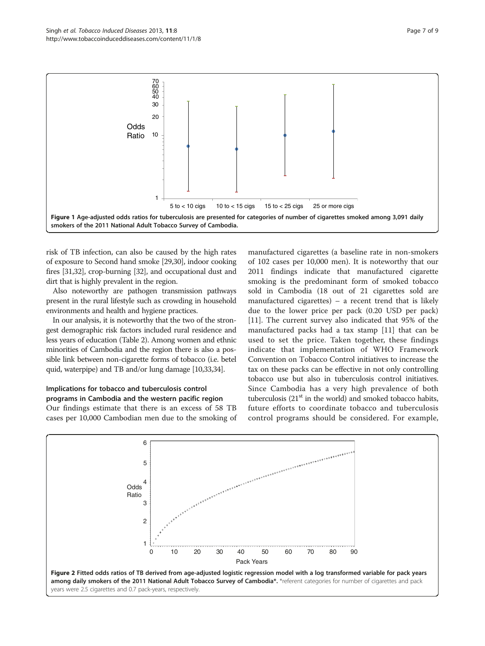<span id="page-6-0"></span>

risk of TB infection, can also be caused by the high rates of exposure to Second hand smoke [\[29,30\]](#page-8-0), indoor cooking fires [\[31,32](#page-8-0)], crop-burning [\[32\]](#page-8-0), and occupational dust and dirt that is highly prevalent in the region.

Also noteworthy are pathogen transmission pathways present in the rural lifestyle such as crowding in household environments and health and hygiene practices.

In our analysis, it is noteworthy that the two of the strongest demographic risk factors included rural residence and less years of education (Table [2](#page-5-0)). Among women and ethnic minorities of Cambodia and the region there is also a possible link between non-cigarette forms of tobacco (i.e. betel quid, waterpipe) and TB and/or lung damage [\[10](#page-7-0)[,33,34](#page-8-0)].

# Implications for tobacco and tuberculosis control programs in Cambodia and the western pacific region

Our findings estimate that there is an excess of 58 TB cases per 10,000 Cambodian men due to the smoking of manufactured cigarettes (a baseline rate in non-smokers of 102 cases per 10,000 men). It is noteworthy that our 2011 findings indicate that manufactured cigarette smoking is the predominant form of smoked tobacco sold in Cambodia (18 out of 21 cigarettes sold are manufactured cigarettes) – a recent trend that is likely due to the lower price per pack (0.20 USD per pack) [[11\]](#page-7-0). The current survey also indicated that 95% of the manufactured packs had a tax stamp [[11\]](#page-7-0) that can be used to set the price. Taken together, these findings indicate that implementation of WHO Framework Convention on Tobacco Control initiatives to increase the tax on these packs can be effective in not only controlling tobacco use but also in tuberculosis control initiatives. Since Cambodia has a very high prevalence of both tuberculosis  $(21<sup>st</sup>$  in the world) and smoked tobacco habits, future efforts to coordinate tobacco and tuberculosis control programs should be considered. For example,

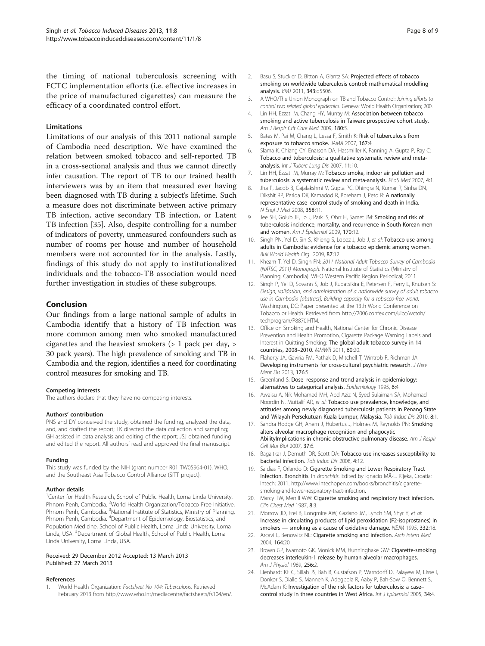<span id="page-7-0"></span>the timing of national tuberculosis screening with FCTC implementation efforts (i.e. effective increases in the price of manufactured cigarettes) can measure the efficacy of a coordinated control effort.

## Limitations

Limitations of our analysis of this 2011 national sample of Cambodia need description. We have examined the relation between smoked tobacco and self-reported TB in a cross-sectional analysis and thus we cannot directly infer causation. The report of TB to our trained health interviewers was by an item that measured ever having been diagnosed with TB during a subject's lifetime. Such a measure does not discriminate between active primary TB infection, active secondary TB infection, or Latent TB infection [\[35](#page-8-0)]. Also, despite controlling for a number of indicators of poverty, unmeasured confounders such as number of rooms per house and number of household members were not accounted for in the analysis. Lastly, findings of this study do not apply to institutionalized individuals and the tobacco-TB association would need further investigation in studies of these subgroups.

## Conclusion

Our findings from a large national sample of adults in Cambodia identify that a history of TB infection was more common among men who smoked manufactured cigarettes and the heaviest smokers (> 1 pack per day, > 30 pack years). The high prevalence of smoking and TB in Cambodia and the region, identifies a need for coordinating control measures for smoking and TB.

### Competing interests

The authors declare that they have no competing interests.

### Authors' contribution

PNS and DY conceived the study, obtained the funding, analyzed the data, and, and drafted the report; TK directed the data collection and sampling; GH assisted in data analysis and editing of the report; JSJ obtained funding and edited the report. All authors' read and approved the final manuscript.

### Funding

This study was funded by the NIH (grant number R01 TW05964-01), WHO, and the Southeast Asia Tobacco Control Alliance (SITT project).

#### Author details

<sup>1</sup> Center for Health Research, School of Public Health, Loma Linda University, Phnom Penh, Cambodia. <sup>2</sup>World Health Organization/Tobacco Free Initiative, Phnom Penh, Cambodia. <sup>3</sup>National Institute of Statistics, Ministry of Planning, Phnom Penh, Cambodia. <sup>4</sup>Department of Epidemiology, Biostatistics, and Population Medicine, School of Public Health, Loma Linda University, Loma Linda, USA. <sup>5</sup>Department of Global Health, School of Public Health, Loma Linda University, Loma Linda, USA.

## Received: 29 December 2012 Accepted: 13 March 2013 Published: 27 March 2013

## References

1. World Health Organization: Factsheet No 104: Tuberculosis. Retrieved February 2013 from [http://www.who.int/mediacentre/factsheets/fs104/en/.](http://www.who.int/mediacentre/factsheets/fs104/en/)

- 2. Basu S, Stuckler D, Bitton A, Glantz SA: Projected effects of tobacco smoking on worldwide tuberculosis control: mathematical modelling analysis. BMJ 2011, 343:d5506.
- 3. A WHO/The Union Monograph on TB and Tobacco Control: Joining efforts to control two related global epidemics. Geneva: World Health Organization; 200.
- 4. Lin HH, Ezzati M, Chang HY, Murray M: Association between tobacco smoking and active tuberculosis in Taiwan: prospective cohort study. Am J Respir Crit Care Med 2009, 180:5.
- 5. Bates M, Pai M, Chang L, Lessa F, Smith K: Risk of tuberculosis from exposure to tobacco smoke. JAMA 2007, 167:4.
- 6. Slama K, Chiang CY, Enarson DA, Hassmiller K, Fanning A, Gupta P, Ray C: Tobacco and tuberculosis: a qualitative systematic review and metaanalysis. Int J Tuberc Lung Dis 2007, 11:10.
- 7. Lin HH, Ezzati M, Murray M: Tobacco smoke, indoor air pollution and tuberculosis: a systematic review and meta-analysis. PLoS Med 2007, 4:1.
- 8. Jha P, Jacob B, Gajalakshmi V, Gupta PC, Dhingra N, Kumar R, Sinha DN, Dikshit RP, Parida DK, Kamadod R, Boreham J, Peto R: A nationally representative case–control study of smoking and death in India. N Engl J Med 2008, 358:11.
- Jee SH, Golub JE, Jo J, Park IS, Ohrr H, Samet JM: Smoking and risk of tuberculosis incidence, mortality, and recurrence in South Korean men and women. Am J Epidemiol 2009, 170:12.
- 10. Singh PN, Yel D, Sin S, Khieng S, Lopez J, Job J, et al: Tobacco use among adults in Cambodia: evidence for a tobacco epidemic among women. Bull World Health Org 2009, 87:12.
- 11. Kheam T, Yel D, Singh PN: 2011 National Adult Tobacco Survey of Cambodia (NATSC, 2011) Monograph. National Institute of Statistics (Ministry of Planning, Cambodia): WHO Western Pacific Region Periodical; 2011.
- 12. Singh P, Yel D, Sovann S, Job J, Rudatsikira E, Petersen F, Ferry L, Knutsen S: Design, validation, and administration of a nationwide survey of adult tobacco use in Cambodia [abstract]. Building capacity for a tobacco-free world. Washington, DC: Paper presented at the 13th World Conference on Tobacco or Health. Retrieved from [http://2006.confex.com/uicc/wctoh/](http://2006.confex.com/uicc/wctoh/techprogram/P8870.HTM) [techprogram/P8870.HTM.](http://2006.confex.com/uicc/wctoh/techprogram/P8870.HTM)
- 13. Office on Smoking and Health, National Center for Chronic Disease Prevention and Health Promotion, Cigarette Package Warning Labels and Interest in Quitting Smoking: The global adult tobacco survey in 14 countries, 2008–2010. MMWR 2011, 60:20.
- 14. Flaherty JA, Gaviria FM, Pathak D, Mitchell T, Wintrob R, Richman JA: Developing instruments for cross-cultural psychiatric research. J Nerv Ment Dis 2013, 176:5.
- 15. Greenland S: Dose–response and trend analysis in epidemiology: alternatives to categorical analysis. Epidemiology 1995, 6:4.
- 16. Awaisu A, Nik Mohamed MH, Abd Aziz N, Syed Sulaiman SA, Mohamad Noordin N, Muttalif AR, et al: Tobacco use prevalence, knowledge, and attitudes among newly diagnosed tuberculosis patients in Penang State and Wilayah Persekutuan Kuala Lumpur, Malaysia. Tob Induc Dis 2010, 8:1.
- 17. Sandra Hodge GH, Ahern J, Hubertus J, Holmes M, Reynolds PN: Smoking alters alveolar macrophage recognition and phagocytic AbilityImplications in chronic obstructive pulmonary disease. Am J Respir Cell Mol Biol 2007, 37:6.
- 18. Bagaitkar J, Demuth DR, Scott DA: Tobacco use increases susceptibility to bacterial infection. Tob Induc Dis 2008, 4:12.
- 19. Saldias F, Orlando D: Cigarette Smoking and Lower Respiratory Tract Infection. Bronchitis. In Bronchitis. Edited by Ignacio MÃ-L. Rijeka, Croatia: Intech; 2011. [http://www.intechopen.com/books/bronchitis/cigarette](http://www.intechopen.com/books/bronchitis/cigarette-smoking-and-lower-respiratory-tract-infection)[smoking-and-lower-respiratory-tract-infection](http://www.intechopen.com/books/bronchitis/cigarette-smoking-and-lower-respiratory-tract-infection).
- 20. Marcy TW, Merrill WW: Cigarette smoking and respiratory tract infection. Clin Chest Med 1987, 8:3.
- 21. Morrow JD, Frei B, Longmire AW, Gaziano JM, Lynch SM, Shyr Y, et al: Increase in circulating products of lipid peroxidation (F2-isoprostanes) in smokers - smoking as a cause of oxidative damage. NEJM 1995, 332:18.
- 22. Arcavi L, Benowitz NL: Cigarette smoking and infection. Arch Intern Med 2004, 164:20.
- 23. Brown GP, Iwamoto GK, Monick MM, Hunninghake GW: Cigarette-smoking decreases interleukin-1 release by human alveolar macrophages. Am 1 Physiol 1989, 256:2.
- 24. Lienhardt KF C, Sillah JS, Bah B, Gustafson P, Warndorff D, Palayew M, Lisse I, Donkor S, Diallo S, Manneh K, Adegbola R, Aaby P, Bah-Sow O, Bennett S, McAdam K: Investigation of the risk factors for tuberculosis: a casecontrol study in three countries in West Africa. Int J Epidemiol 2005, 34:4.